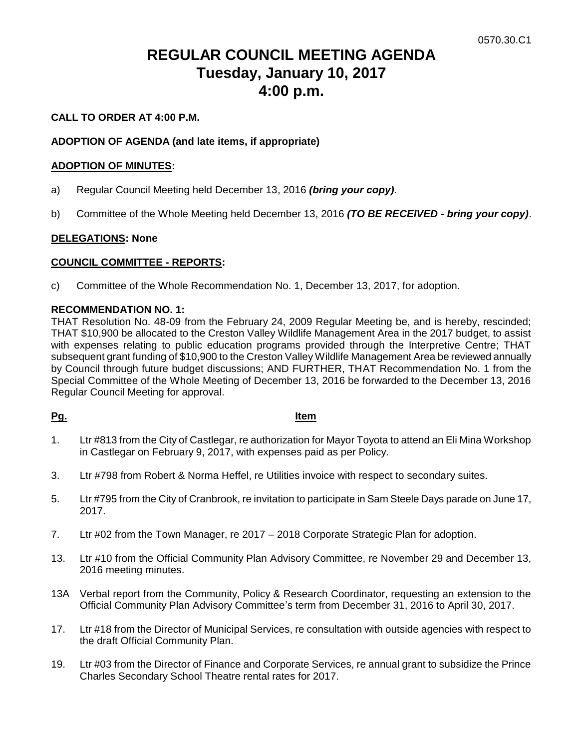# **REGULAR COUNCIL MEETING AGENDA Tuesday, January 10, 2017 4:00 p.m.**

## **CALL TO ORDER AT 4:00 P.M.**

### **ADOPTION OF AGENDA (and late items, if appropriate)**

#### **ADOPTION OF MINUTES:**

- a) Regular Council Meeting held December 13, 2016 *(bring your copy)*.
- b) Committee of the Whole Meeting held December 13, 2016 *(TO BE RECEIVED - bring your copy)*.

#### **DELEGATIONS: None**

#### **COUNCIL COMMITTEE - REPORTS:**

c) Committee of the Whole Recommendation No. 1, December 13, 2017, for adoption.

#### **RECOMMENDATION NO. 1:**

THAT Resolution No. 48-09 from the February 24, 2009 Regular Meeting be, and is hereby, rescinded; THAT \$10,900 be allocated to the Creston Valley Wildlife Management Area in the 2017 budget, to assist with expenses relating to public education programs provided through the Interpretive Centre; THAT subsequent grant funding of \$10,900 to the Creston Valley Wildlife Management Area be reviewed annually by Council through future budget discussions; AND FURTHER, THAT Recommendation No. 1 from the Special Committee of the Whole Meeting of December 13, 2016 be forwarded to the December 13, 2016 Regular Council Meeting for approval.

#### **Pg. Item**

- 1. Ltr #813 from the City of Castlegar, re authorization for Mayor Toyota to attend an Eli Mina Workshop in Castlegar on February 9, 2017, with expenses paid as per Policy.
- 3. Ltr #798 from Robert & Norma Heffel, re Utilities invoice with respect to secondary suites.
- 5. Ltr #795 from the City of Cranbrook, re invitation to participate in Sam Steele Days parade on June 17, 2017.
- 7. Ltr #02 from the Town Manager, re 2017 2018 Corporate Strategic Plan for adoption.
- 13. Ltr #10 from the Official Community Plan Advisory Committee, re November 29 and December 13, 2016 meeting minutes.
- 13A Verbal report from the Community, Policy & Research Coordinator, requesting an extension to the Official Community Plan Advisory Committee's term from December 31, 2016 to April 30, 2017.
- 17. Ltr #18 from the Director of Municipal Services, re consultation with outside agencies with respect to the draft Official Community Plan.
- 19. Ltr #03 from the Director of Finance and Corporate Services, re annual grant to subsidize the Prince Charles Secondary School Theatre rental rates for 2017.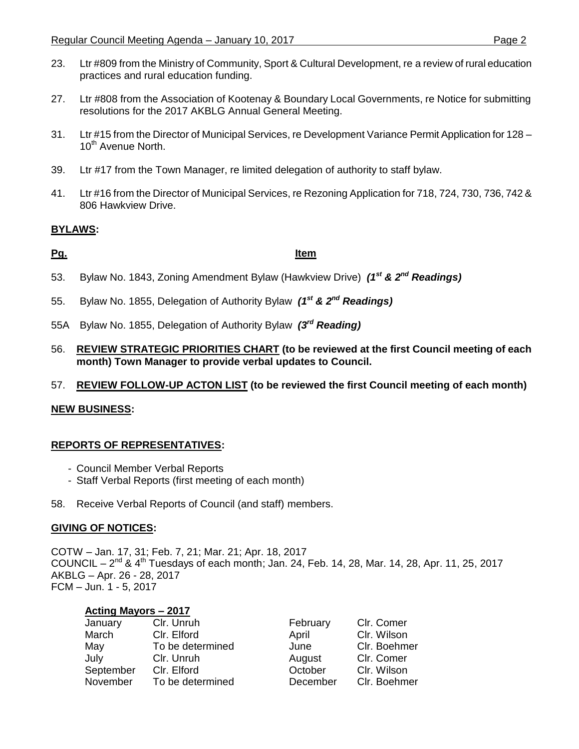- 23. Ltr #809 from the Ministry of Community, Sport & Cultural Development, re a review of rural education practices and rural education funding.
- 27. Ltr #808 from the Association of Kootenay & Boundary Local Governments, re Notice for submitting resolutions for the 2017 AKBLG Annual General Meeting.
- 31. Ltr #15 from the Director of Municipal Services, re Development Variance Permit Application for 128 10<sup>th</sup> Avenue North.
- 39. Ltr #17 from the Town Manager, re limited delegation of authority to staff bylaw.
- 41. Ltr #16 from the Director of Municipal Services, re Rezoning Application for 718, 724, 730, 736, 742 & 806 Hawkview Drive.

# **BYLAWS:**

### **Pg. Item**

- 53. Bylaw No. 1843, Zoning Amendment Bylaw (Hawkview Drive) *(1st & 2 nd Readings)*
- 55. Bylaw No. 1855, Delegation of Authority Bylaw *(1st & 2nd Readings)*
- 55A Bylaw No. 1855, Delegation of Authority Bylaw *(3rd Reading)*
- 56. **REVIEW STRATEGIC PRIORITIES CHART (to be reviewed at the first Council meeting of each month) Town Manager to provide verbal updates to Council.**
- 57. **REVIEW FOLLOW-UP ACTON LIST (to be reviewed the first Council meeting of each month)**

# **NEW BUSINESS:**

# **REPORTS OF REPRESENTATIVES:**

- Council Member Verbal Reports
- Staff Verbal Reports (first meeting of each month)
- 58. Receive Verbal Reports of Council (and staff) members.

#### **GIVING OF NOTICES:**

COTW – Jan. 17, 31; Feb. 7, 21; Mar. 21; Apr. 18, 2017 COUNCIL –  $2^{nd}$  &  $4^{th}$  Tuesdays of each month; Jan. 24, Feb. 14, 28, Mar. 14, 28, Apr. 11, 25, 2017 AKBLG – Apr. 26 - 28, 2017 FCM – Jun. 1 - 5, 2017

| <b>Acting Mayors - 2017</b> |                  |          |              |
|-----------------------------|------------------|----------|--------------|
| January                     | Clr. Unruh       | February | Clr. Comer   |
| March                       | Clr. Elford      | April    | Clr. Wilson  |
| May                         | To be determined | June     | Clr. Boehmer |
| July                        | Clr. Unruh       | August   | Clr. Comer   |
| September                   | Clr. Elford      | October  | Clr. Wilson  |
| November                    | To be determined | December | Clr. Boehmer |